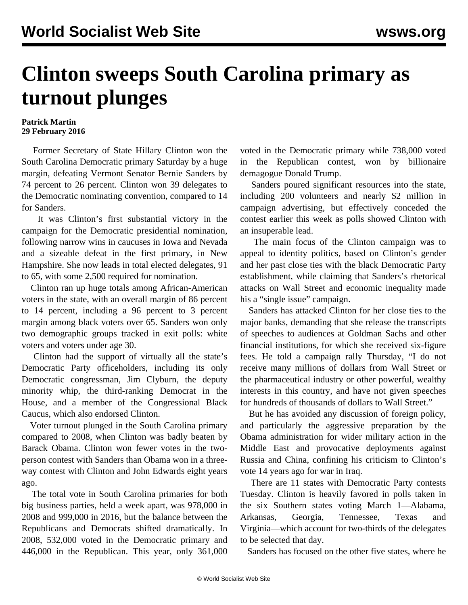## **Clinton sweeps South Carolina primary as turnout plunges**

## **Patrick Martin 29 February 2016**

 Former Secretary of State Hillary Clinton won the South Carolina Democratic primary Saturday by a huge margin, defeating Vermont Senator Bernie Sanders by 74 percent to 26 percent. Clinton won 39 delegates to the Democratic nominating convention, compared to 14 for Sanders.

 It was Clinton's first substantial victory in the campaign for the Democratic presidential nomination, following narrow wins in caucuses in Iowa and Nevada and a sizeable defeat in the first primary, in New Hampshire. She now leads in total elected delegates, 91 to 65, with some 2,500 required for nomination.

 Clinton ran up huge totals among African-American voters in the state, with an overall margin of 86 percent to 14 percent, including a 96 percent to 3 percent margin among black voters over 65. Sanders won only two demographic groups tracked in exit polls: white voters and voters under age 30.

 Clinton had the support of virtually all the state's Democratic Party officeholders, including its only Democratic congressman, Jim Clyburn, the deputy minority whip, the third-ranking Democrat in the House, and a member of the Congressional Black Caucus, which also endorsed Clinton.

 Voter turnout plunged in the South Carolina primary compared to 2008, when Clinton was badly beaten by Barack Obama. Clinton won fewer votes in the twoperson contest with Sanders than Obama won in a threeway contest with Clinton and John Edwards eight years ago.

 The total vote in South Carolina primaries for both big business parties, held a week apart, was 978,000 in 2008 and 999,000 in 2016, but the balance between the Republicans and Democrats shifted dramatically. In 2008, 532,000 voted in the Democratic primary and 446,000 in the Republican. This year, only 361,000 voted in the Democratic primary while 738,000 voted in the Republican contest, won by billionaire demagogue Donald Trump.

 Sanders poured significant resources into the state, including 200 volunteers and nearly \$2 million in campaign advertising, but effectively conceded the contest earlier this week as polls showed Clinton with an insuperable lead.

 The main focus of the Clinton campaign was to appeal to identity politics, based on Clinton's gender and her past close ties with the black Democratic Party establishment, while claiming that Sanders's rhetorical attacks on Wall Street and economic inequality made his a "single issue" campaign.

 Sanders has attacked Clinton for her close ties to the major banks, demanding that she release the transcripts of speeches to audiences at Goldman Sachs and other financial institutions, for which she received six-figure fees. He told a campaign rally Thursday, "I do not receive many millions of dollars from Wall Street or the pharmaceutical industry or other powerful, wealthy interests in this country, and have not given speeches for hundreds of thousands of dollars to Wall Street."

 But he has avoided any discussion of foreign policy, and particularly the aggressive preparation by the Obama administration for wider military action in the Middle East and provocative deployments against Russia and China, confining his criticism to Clinton's vote 14 years ago for war in Iraq.

 There are 11 states with Democratic Party contests Tuesday. Clinton is heavily favored in polls taken in the six Southern states voting March 1—Alabama, Arkansas, Georgia, Tennessee, Texas and Virginia—which account for two-thirds of the delegates to be selected that day.

Sanders has focused on the other five states, where he